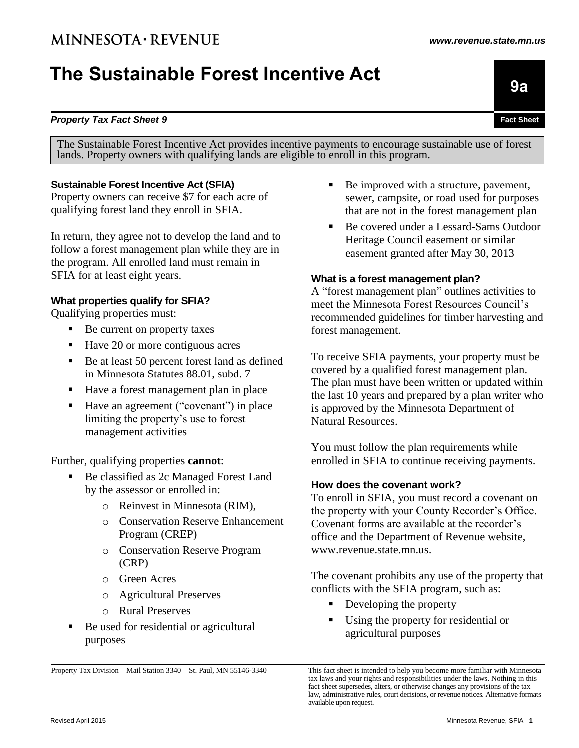# **The Sustainable Forest Incentive Act**

lands. Property owners with qualifying lands are eligible to enroll in this program.

The Sustainable Forest Incentive Act provides incentive payments to encourage sustainable use of forest

Property Tax Division – Mail Station 3340 – St. Paul, MN 55146-3340

Property owners can receive \$7 for each acre of qualifying forest land they enroll in SFIA.

**Sustainable Forest Incentive Act (SFIA)**

In return, they agree not to develop the land and to follow a forest management plan while they are in the program. All enrolled land must remain in SFIA for at least eight years.

#### **What properties qualify for SFIA?**

Qualifying properties must:

- Be current on property taxes
- Have 20 or more contiguous acres
- Be at least 50 percent forest land as defined in Minnesota Statutes 88.01, subd. 7
- Have a forest management plan in place
- Have an agreement ("covenant") in place limiting the property's use to forest management activities

Further, qualifying properties **cannot**:

- Be classified as 2c Managed Forest Land by the assessor or enrolled in:
	- o Reinvest in Minnesota (RIM),
	- o Conservation Reserve Enhancement Program (CREP)
	- o Conservation Reserve Program (CRP)
	- o Green Acres
	- o Agricultural Preserves
	- o Rural Preserves
- Be used for residential or agricultural purposes
- Revised April 2015 Minnesota Revenue, SFIA **1**

■ Be improved with a structure, pavement, sewer, campsite, or road used for purposes that are not in the forest management plan

 Be covered under a Lessard-Sams Outdoor Heritage Council easement or similar easement granted after May 30, 2013

#### **What is a forest management plan?**

A "forest management plan" outlines activities to meet the Minnesota Forest Resources Council's recommended guidelines for timber harvesting and forest management.

To receive SFIA payments, your property must be covered by a qualified forest management plan. The plan must have been written or updated within the last 10 years and prepared by a plan writer who is approved by the Minnesota Department of Natural Resources.

You must follow the plan requirements while enrolled in SFIA to continue receiving payments.

# **How does the covenant work?**

To enroll in SFIA, you must record a covenant on the property with your County Recorder's Office. Covenant forms are available at the recorder's office and the Department of Revenue website, www.revenue.state.mn.us.

The covenant prohibits any use of the property that conflicts with the SFIA program, such as:

- Developing the property
- Using the property for residential or agricultural purposes

**9a**

This fact sheet is intended to help you become more familiar with Minnesota tax laws and your rights and responsibilities under the laws. Nothing in this fact sheet supersedes, alters, or otherwise changes any provisions of the tax law, administrative rules, court decisions, or revenue notices. Alternative formats available upon request.